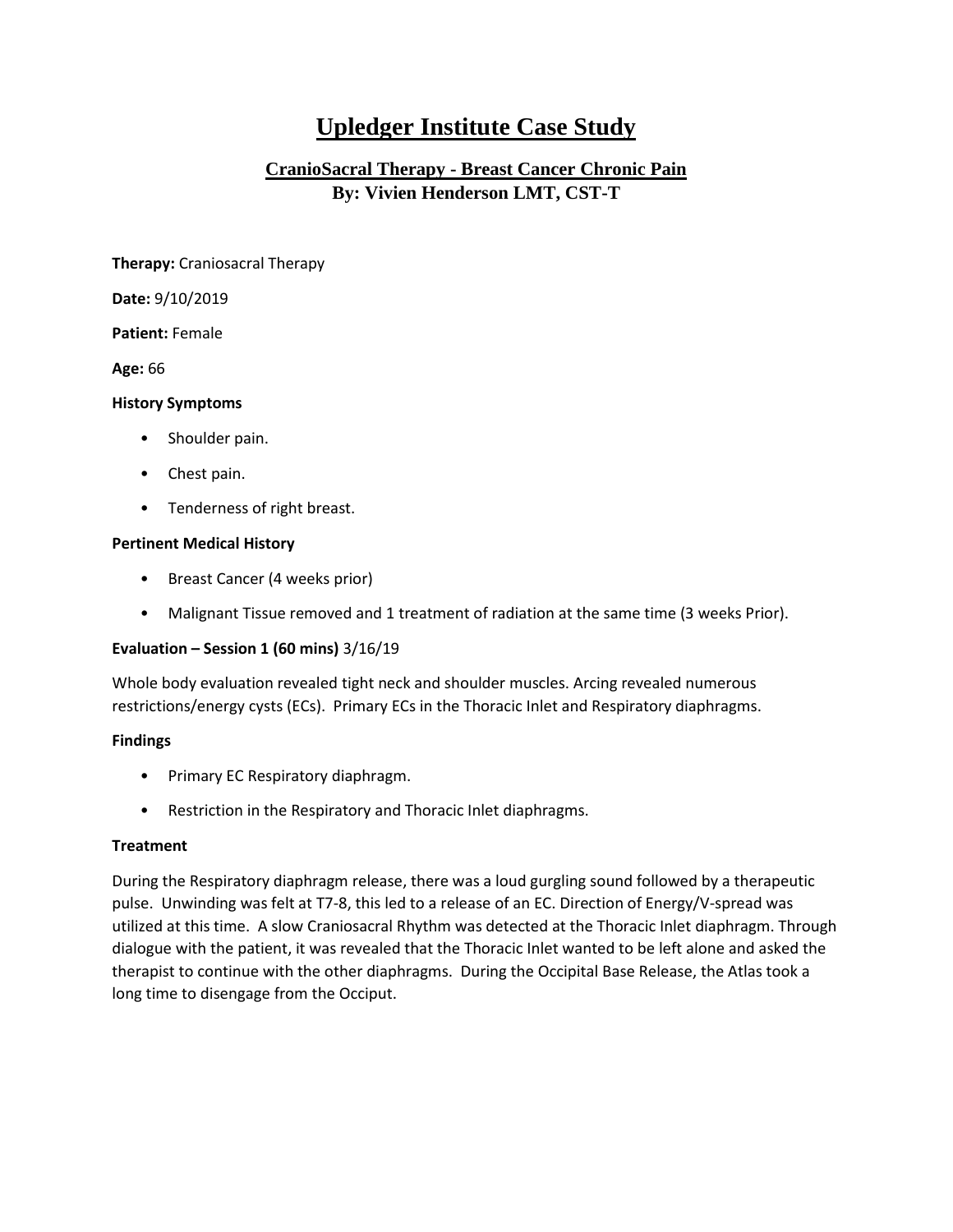# **Upledger Institute Case Study**

## **CranioSacral Therapy - Breast Cancer Chronic Pain By: Vivien Henderson LMT, CST-T**

## **Therapy:** Craniosacral Therapy

**Date:** 9/10/2019

**Patient:** Female

**Age:** 66

## **History Symptoms**

- Shoulder pain.
- Chest pain.
- Tenderness of right breast.

## **Pertinent Medical History**

- Breast Cancer (4 weeks prior)
- Malignant Tissue removed and 1 treatment of radiation at the same time (3 weeks Prior).

## **Evaluation – Session 1 (60 mins)** 3/16/19

Whole body evaluation revealed tight neck and shoulder muscles. Arcing revealed numerous restrictions/energy cysts (ECs). Primary ECs in the Thoracic Inlet and Respiratory diaphragms.

## **Findings**

- Primary EC Respiratory diaphragm.
- Restriction in the Respiratory and Thoracic Inlet diaphragms.

## **Treatment**

During the Respiratory diaphragm release, there was a loud gurgling sound followed by a therapeutic pulse. Unwinding was felt at T7-8, this led to a release of an EC. Direction of Energy/V-spread was utilized at this time. A slow Craniosacral Rhythm was detected at the Thoracic Inlet diaphragm. Through dialogue with the patient, it was revealed that the Thoracic Inlet wanted to be left alone and asked the therapist to continue with the other diaphragms. During the Occipital Base Release, the Atlas took a long time to disengage from the Occiput.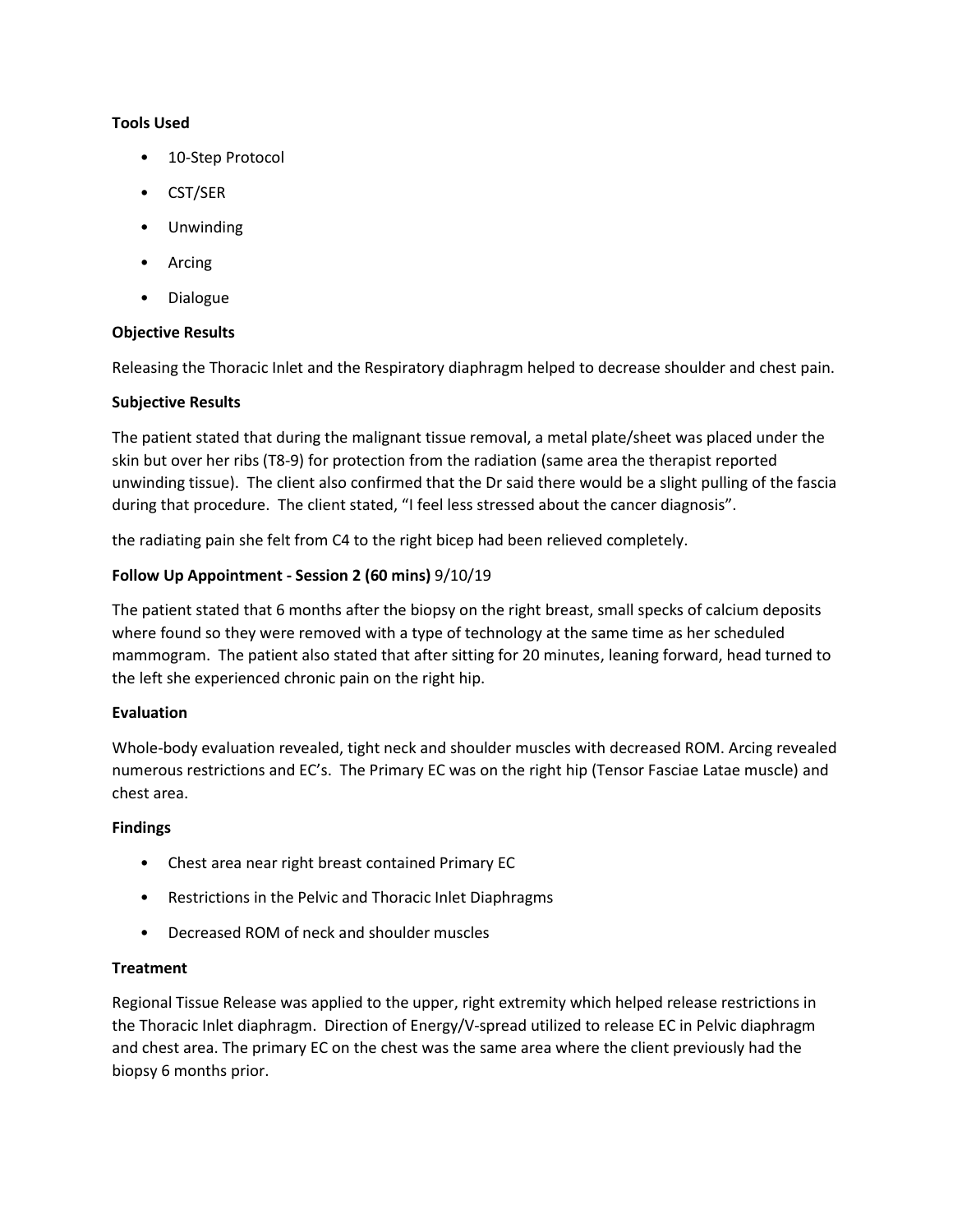## **Tools Used**

- 10-Step Protocol
- CST/SER
- Unwinding
- Arcing
- Dialogue

## **Objective Results**

Releasing the Thoracic Inlet and the Respiratory diaphragm helped to decrease shoulder and chest pain.

## **Subjective Results**

The patient stated that during the malignant tissue removal, a metal plate/sheet was placed under the skin but over her ribs (T8-9) for protection from the radiation (same area the therapist reported unwinding tissue). The client also confirmed that the Dr said there would be a slight pulling of the fascia during that procedure. The client stated, "I feel less stressed about the cancer diagnosis".

the radiating pain she felt from C4 to the right bicep had been relieved completely.

## **Follow Up Appointment - Session 2 (60 mins)** 9/10/19

The patient stated that 6 months after the biopsy on the right breast, small specks of calcium deposits where found so they were removed with a type of technology at the same time as her scheduled mammogram. The patient also stated that after sitting for 20 minutes, leaning forward, head turned to the left she experienced chronic pain on the right hip.

## **Evaluation**

Whole-body evaluation revealed, tight neck and shoulder muscles with decreased ROM. Arcing revealed numerous restrictions and EC's. The Primary EC was on the right hip (Tensor Fasciae Latae muscle) and chest area.

## **Findings**

- Chest area near right breast contained Primary EC
- Restrictions in the Pelvic and Thoracic Inlet Diaphragms
- Decreased ROM of neck and shoulder muscles

## **Treatment**

Regional Tissue Release was applied to the upper, right extremity which helped release restrictions in the Thoracic Inlet diaphragm. Direction of Energy/V-spread utilized to release EC in Pelvic diaphragm and chest area. The primary EC on the chest was the same area where the client previously had the biopsy 6 months prior.